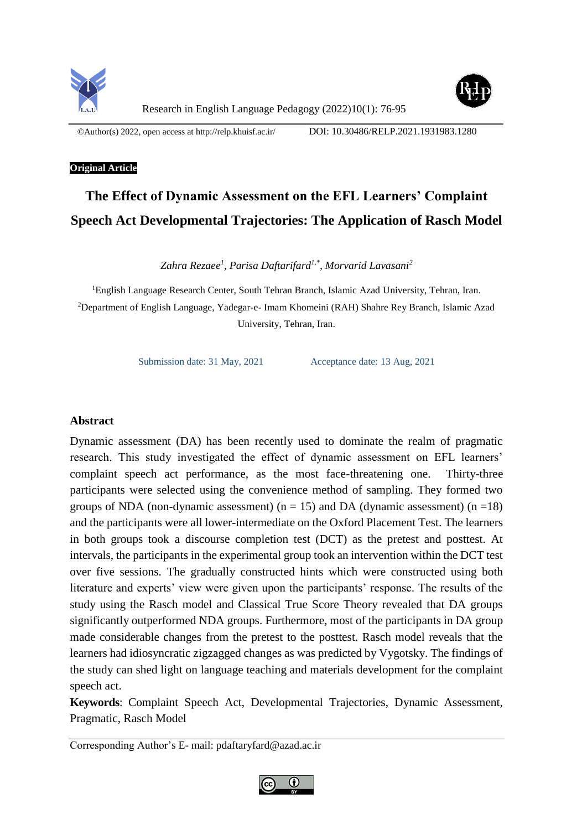



Research in English Language Pedagogy (2022)10(1): 76-95

©Author(s) 2022, open access a[t http://relp.khuisf.ac.ir/](http://relp.khuisf.ac.ir/) DOI: 10.30486/RELP.2021.1931983.1280

# **Original Article**

# **The Effect of Dynamic Assessment on the EFL Learners' Complaint Speech Act Developmental Trajectories: The Application of Rasch Model**

*Zahra Rezaee<sup>1</sup> , Parisa Daftarifard1,\* , Morvarid Lavasani<sup>2</sup>*

<sup>1</sup>English Language Research Center, South Tehran Branch, Islamic Azad University, Tehran, Iran. <sup>2</sup>Department of English Language, Yadegar-e- Imam Khomeini (RAH) Shahre Rey Branch, Islamic Azad University, Tehran, Iran.

Submission date: 31 May, 2021 Acceptance date: 13 Aug, 2021

# **Abstract**

Dynamic assessment (DA) has been recently used to dominate the realm of pragmatic research. This study investigated the effect of dynamic assessment on EFL learners' complaint speech act performance, as the most face-threatening one. Thirty-three participants were selected using the convenience method of sampling. They formed two groups of NDA (non-dynamic assessment) ( $n = 15$ ) and DA (dynamic assessment) ( $n = 18$ ) and the participants were all lower-intermediate on the Oxford Placement Test. The learners in both groups took a discourse completion test (DCT) as the pretest and posttest. At intervals, the participants in the experimental group took an intervention within the DCT test over five sessions. The gradually constructed hints which were constructed using both literature and experts' view were given upon the participants' response. The results of the study using the Rasch model and Classical True Score Theory revealed that DA groups significantly outperformed NDA groups. Furthermore, most of the participants in DA group made considerable changes from the pretest to the posttest. Rasch model reveals that the learners had idiosyncratic zigzagged changes as was predicted by Vygotsky. The findings of the study can shed light on language teaching and materials development for the complaint speech act.

**Keywords**: Complaint Speech Act, Developmental Trajectories, Dynamic Assessment, Pragmatic, Rasch Model

Corresponding Author's E- mail: pdaftaryfard@azad.ac.ir

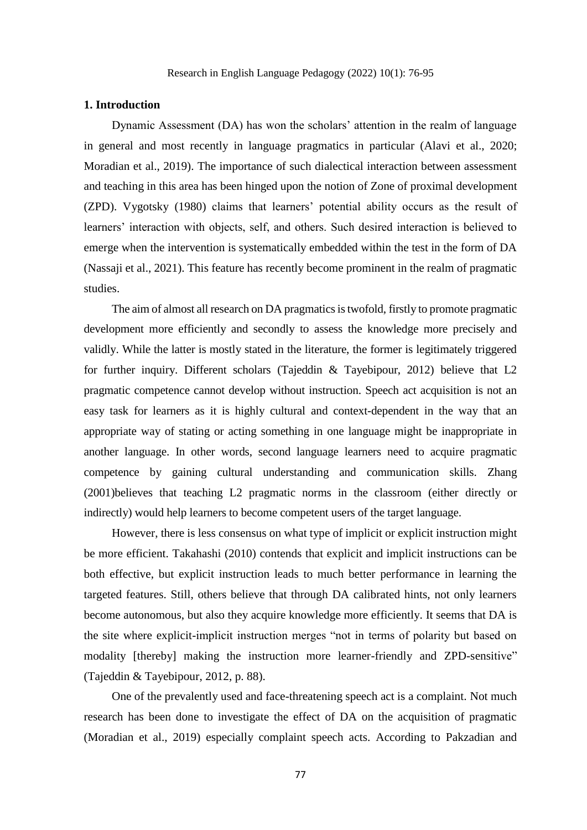#### **1. Introduction**

Dynamic Assessment (DA) has won the scholars' attention in the realm of language in general and most recently in language pragmatics in particular (Alavi et al., 2020; Moradian et al., 2019). The importance of such dialectical interaction between assessment and teaching in this area has been hinged upon the notion of Zone of proximal development (ZPD). Vygotsky (1980) claims that learners' potential ability occurs as the result of learners' interaction with objects, self, and others. Such desired interaction is believed to emerge when the intervention is systematically embedded within the test in the form of DA (Nassaji et al., 2021). This feature has recently become prominent in the realm of pragmatic studies.

The aim of almost all research on DA pragmatics is twofold, firstly to promote pragmatic development more efficiently and secondly to assess the knowledge more precisely and validly. While the latter is mostly stated in the literature, the former is legitimately triggered for further inquiry. Different scholars (Tajeddin & Tayebipour, 2012) believe that L2 pragmatic competence cannot develop without instruction. Speech act acquisition is not an easy task for learners as it is highly cultural and context-dependent in the way that an appropriate way of stating or acting something in one language might be inappropriate in another language. In other words, second language learners need to acquire pragmatic competence by gaining cultural understanding and communication skills. Zhang (2001)believes that teaching L2 pragmatic norms in the classroom (either directly or indirectly) would help learners to become competent users of the target language.

However, there is less consensus on what type of implicit or explicit instruction might be more efficient. Takahashi (2010) contends that explicit and implicit instructions can be both effective, but explicit instruction leads to much better performance in learning the targeted features. Still, others believe that through DA calibrated hints, not only learners become autonomous, but also they acquire knowledge more efficiently. It seems that DA is the site where explicit-implicit instruction merges "not in terms of polarity but based on modality [thereby] making the instruction more learner-friendly and ZPD-sensitive" (Tajeddin & Tayebipour, 2012, p. 88).

One of the prevalently used and face-threatening speech act is a complaint. Not much research has been done to investigate the effect of DA on the acquisition of pragmatic (Moradian et al., 2019) especially complaint speech acts. According to Pakzadian and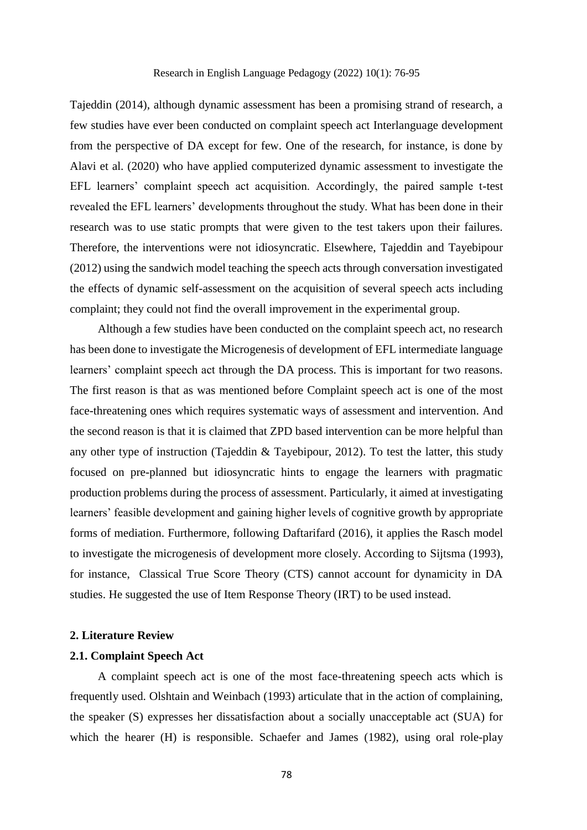Tajeddin (2014), although dynamic assessment has been a promising strand of research, a few studies have ever been conducted on complaint speech act Interlanguage development from the perspective of DA except for few. One of the research, for instance, is done by Alavi et al. (2020) who have applied computerized dynamic assessment to investigate the EFL learners' complaint speech act acquisition. Accordingly, the paired sample t-test revealed the EFL learners' developments throughout the study. What has been done in their research was to use static prompts that were given to the test takers upon their failures. Therefore, the interventions were not idiosyncratic. Elsewhere, Tajeddin and Tayebipour (2012) using the sandwich model teaching the speech acts through conversation investigated the effects of dynamic self-assessment on the acquisition of several speech acts including complaint; they could not find the overall improvement in the experimental group.

Although a few studies have been conducted on the complaint speech act, no research has been done to investigate the Microgenesis of development of EFL intermediate language learners' complaint speech act through the DA process. This is important for two reasons. The first reason is that as was mentioned before Complaint speech act is one of the most face-threatening ones which requires systematic ways of assessment and intervention. And the second reason is that it is claimed that ZPD based intervention can be more helpful than any other type of instruction (Tajeddin & Tayebipour, 2012). To test the latter, this study focused on pre-planned but idiosyncratic hints to engage the learners with pragmatic production problems during the process of assessment. Particularly, it aimed at investigating learners' feasible development and gaining higher levels of cognitive growth by appropriate forms of mediation. Furthermore, following Daftarifard (2016), it applies the Rasch model to investigate the microgenesis of development more closely. According to Sijtsma (1993), for instance, Classical True Score Theory (CTS) cannot account for dynamicity in DA studies. He suggested the use of Item Response Theory (IRT) to be used instead.

#### **2. Literature Review**

# **2.1. Complaint Speech Act**

A complaint speech act is one of the most face-threatening speech acts which is frequently used. Olshtain and Weinbach (1993) articulate that in the action of complaining, the speaker (S) expresses her dissatisfaction about a socially unacceptable act (SUA) for which the hearer (H) is responsible. Schaefer and James (1982), using oral role-play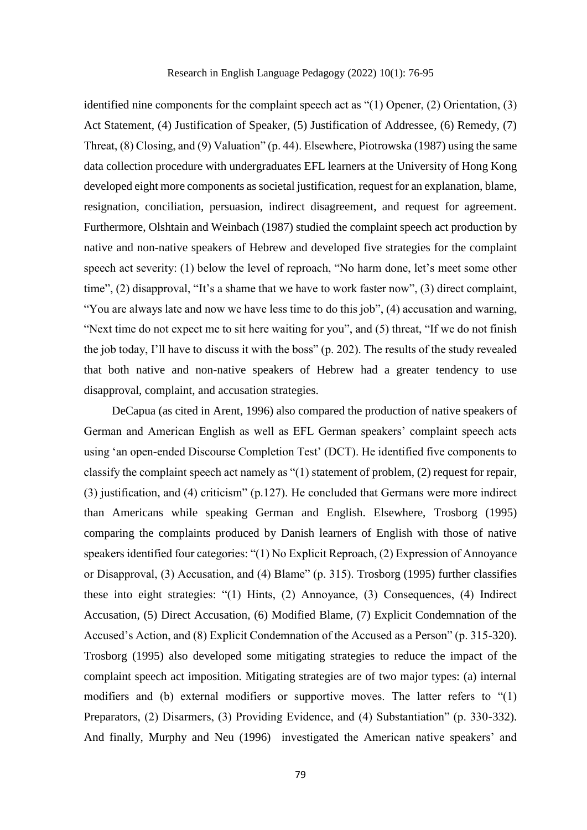identified nine components for the complaint speech act as "(1) Opener, (2) Orientation, (3) Act Statement, (4) Justification of Speaker, (5) Justification of Addressee, (6) Remedy, (7) Threat, (8) Closing, and (9) Valuation" (p. 44). Elsewhere, Piotrowska (1987) using the same data collection procedure with undergraduates EFL learners at the University of Hong Kong developed eight more components as societal justification, request for an explanation, blame, resignation, conciliation, persuasion, indirect disagreement, and request for agreement. Furthermore, Olshtain and Weinbach (1987) studied the complaint speech act production by native and non-native speakers of Hebrew and developed five strategies for the complaint speech act severity: (1) below the level of reproach, "No harm done, let's meet some other time", (2) disapproval, "It's a shame that we have to work faster now", (3) direct complaint, "You are always late and now we have less time to do this job", (4) accusation and warning, "Next time do not expect me to sit here waiting for you", and (5) threat, "If we do not finish the job today, I'll have to discuss it with the boss" (p. 202). The results of the study revealed that both native and non-native speakers of Hebrew had a greater tendency to use disapproval, complaint, and accusation strategies.

DeCapua (as cited in Arent, 1996) also compared the production of native speakers of German and American English as well as EFL German speakers' complaint speech acts using 'an open-ended Discourse Completion Test' (DCT). He identified five components to classify the complaint speech act namely as "(1) statement of problem, (2) request for repair, (3) justification, and (4) criticism" (p.127). He concluded that Germans were more indirect than Americans while speaking German and English. Elsewhere, Trosborg (1995) comparing the complaints produced by Danish learners of English with those of native speakers identified four categories: "(1) No Explicit Reproach, (2) Expression of Annoyance or Disapproval, (3) Accusation, and (4) Blame" (p. 315). Trosborg (1995) further classifies these into eight strategies: "(1) Hints, (2) Annoyance, (3) Consequences, (4) Indirect Accusation, (5) Direct Accusation, (6) Modified Blame, (7) Explicit Condemnation of the Accused's Action, and (8) Explicit Condemnation of the Accused as a Person" (p. 315-320). Trosborg (1995) also developed some mitigating strategies to reduce the impact of the complaint speech act imposition. Mitigating strategies are of two major types: (a) internal modifiers and (b) external modifiers or supportive moves. The latter refers to "(1) Preparators, (2) Disarmers, (3) Providing Evidence, and (4) Substantiation" (p. 330-332). And finally, Murphy and Neu (1996) investigated the American native speakers' and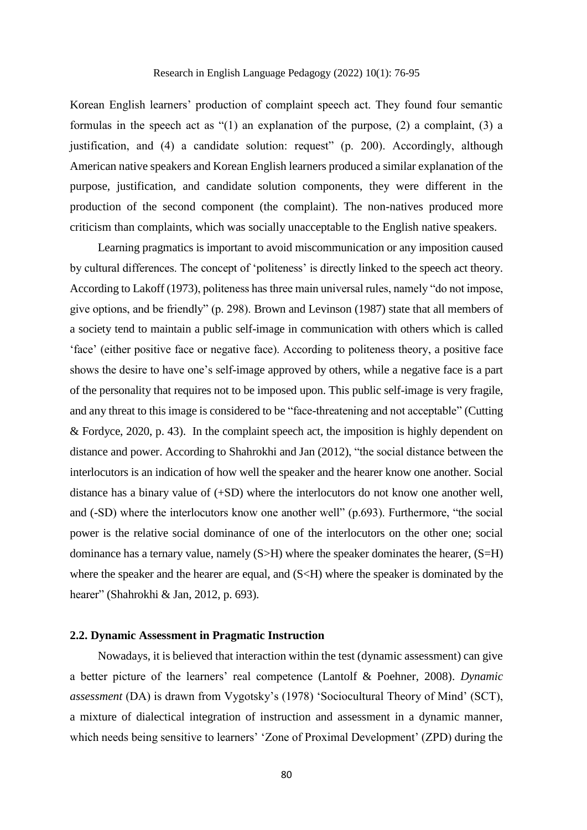Korean English learners' production of complaint speech act. They found four semantic formulas in the speech act as "(1) an explanation of the purpose, (2) a complaint, (3) a justification, and (4) a candidate solution: request" (p. 200). Accordingly, although American native speakers and Korean English learners produced a similar explanation of the purpose, justification, and candidate solution components, they were different in the production of the second component (the complaint). The non-natives produced more criticism than complaints, which was socially unacceptable to the English native speakers.

Learning pragmatics is important to avoid miscommunication or any imposition caused by cultural differences. The concept of 'politeness' is directly linked to the speech act theory. According to Lakoff (1973), politeness has three main universal rules, namely "do not impose, give options, and be friendly" (p. 298). Brown and Levinson (1987) state that all members of a society tend to maintain a public self-image in communication with others which is called 'face' (either positive face or negative face). According to politeness theory, a positive face shows the desire to have one's self-image approved by others, while a negative face is a part of the personality that requires not to be imposed upon. This public self-image is very fragile, and any threat to this image is considered to be "face-threatening and not acceptable" (Cutting & Fordyce, 2020, p. 43). In the complaint speech act, the imposition is highly dependent on distance and power. According to Shahrokhi and Jan (2012), "the social distance between the interlocutors is an indication of how well the speaker and the hearer know one another. Social distance has a binary value of (+SD) where the interlocutors do not know one another well, and (-SD) where the interlocutors know one another well" (p.693). Furthermore, "the social power is the relative social dominance of one of the interlocutors on the other one; social dominance has a ternary value, namely  $(S>H)$  where the speaker dominates the hearer,  $(S=H)$ where the speaker and the hearer are equal, and  $(S< H)$  where the speaker is dominated by the hearer" (Shahrokhi & Jan, 2012, p. 693).

#### **2.2. Dynamic Assessment in Pragmatic Instruction**

Nowadays, it is believed that interaction within the test (dynamic assessment) can give a better picture of the learners' real competence (Lantolf & Poehner, 2008). *Dynamic assessment* (DA) is drawn from Vygotsky's (1978) 'Sociocultural Theory of Mind' (SCT), a mixture of dialectical integration of instruction and assessment in a dynamic manner, which needs being sensitive to learners' 'Zone of Proximal Development' (ZPD) during the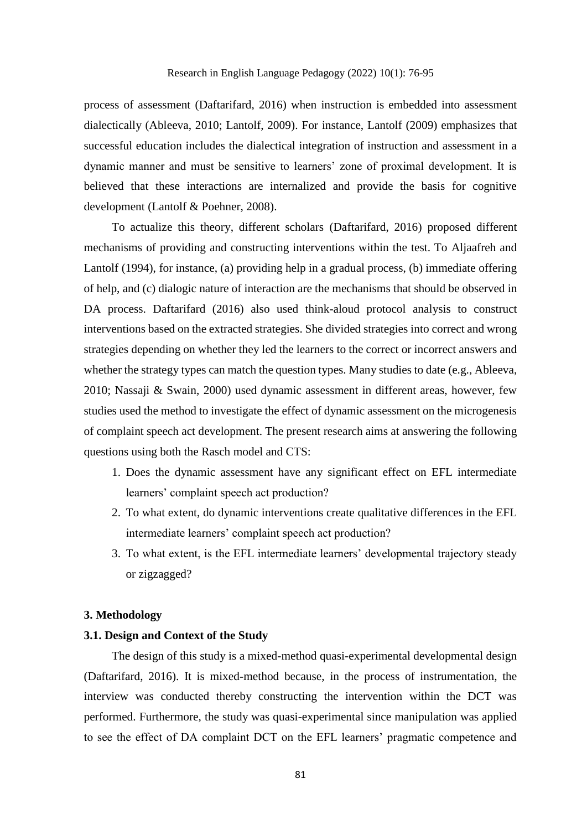process of assessment (Daftarifard, 2016) when instruction is embedded into assessment dialectically (Ableeva, 2010; Lantolf, 2009). For instance, Lantolf (2009) emphasizes that successful education includes the dialectical integration of instruction and assessment in a dynamic manner and must be sensitive to learners' zone of proximal development. It is believed that these interactions are internalized and provide the basis for cognitive development (Lantolf & Poehner, 2008).

To actualize this theory, different scholars (Daftarifard, 2016) proposed different mechanisms of providing and constructing interventions within the test. To Aljaafreh and Lantolf (1994), for instance, (a) providing help in a gradual process, (b) immediate offering of help, and (c) dialogic nature of interaction are the mechanisms that should be observed in DA process. Daftarifard (2016) also used think-aloud protocol analysis to construct interventions based on the extracted strategies. She divided strategies into correct and wrong strategies depending on whether they led the learners to the correct or incorrect answers and whether the strategy types can match the question types. Many studies to date (e.g., Ableeva, 2010; Nassaji & Swain, 2000) used dynamic assessment in different areas, however, few studies used the method to investigate the effect of dynamic assessment on the microgenesis of complaint speech act development. The present research aims at answering the following questions using both the Rasch model and CTS:

- 1. Does the dynamic assessment have any significant effect on EFL intermediate learners' complaint speech act production?
- 2. To what extent, do dynamic interventions create qualitative differences in the EFL intermediate learners' complaint speech act production?
- 3. To what extent, is the EFL intermediate learners' developmental trajectory steady or zigzagged?

#### **3. Methodology**

# **3.1. Design and Context of the Study**

The design of this study is a mixed-method quasi-experimental developmental design (Daftarifard, 2016). It is mixed-method because, in the process of instrumentation, the interview was conducted thereby constructing the intervention within the DCT was performed. Furthermore, the study was quasi-experimental since manipulation was applied to see the effect of DA complaint DCT on the EFL learners' pragmatic competence and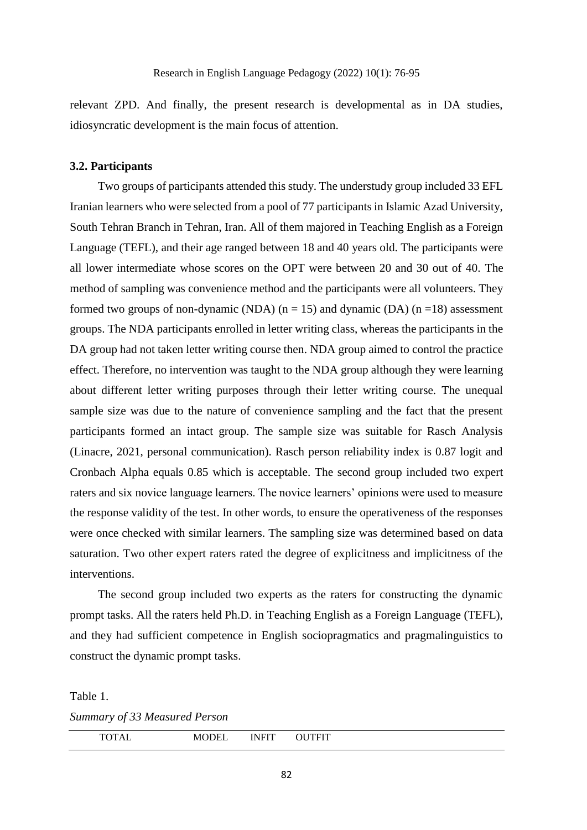relevant ZPD. And finally, the present research is developmental as in DA studies, idiosyncratic development is the main focus of attention.

# **3.2. Participants**

Two groups of participants attended this study. The understudy group included 33 EFL Iranian learners who were selected from a pool of 77 participants in Islamic Azad University, South Tehran Branch in Tehran, Iran. All of them majored in Teaching English as a Foreign Language (TEFL), and their age ranged between 18 and 40 years old. The participants were all lower intermediate whose scores on the OPT were between 20 and 30 out of 40. The method of sampling was convenience method and the participants were all volunteers. They formed two groups of non-dynamic (NDA)  $(n = 15)$  and dynamic (DA)  $(n = 18)$  assessment groups. The NDA participants enrolled in letter writing class, whereas the participants in the DA group had not taken letter writing course then. NDA group aimed to control the practice effect. Therefore, no intervention was taught to the NDA group although they were learning about different letter writing purposes through their letter writing course. The unequal sample size was due to the nature of convenience sampling and the fact that the present participants formed an intact group. The sample size was suitable for Rasch Analysis (Linacre, 2021, personal communication). Rasch person reliability index is 0.87 logit and Cronbach Alpha equals 0.85 which is acceptable. The second group included two expert raters and six novice language learners. The novice learners' opinions were used to measure the response validity of the test. In other words, to ensure the operativeness of the responses were once checked with similar learners. The sampling size was determined based on data saturation. Two other expert raters rated the degree of explicitness and implicitness of the interventions.

The second group included two experts as the raters for constructing the dynamic prompt tasks. All the raters held Ph.D. in Teaching English as a Foreign Language (TEFL), and they had sufficient competence in English sociopragmatics and pragmalinguistics to construct the dynamic prompt tasks.

Table 1.

*Summary of 33 Measured Person*

| TTT<br>М<br>n<br>∸<br>.<br>00111<br>-- |
|----------------------------------------|
|----------------------------------------|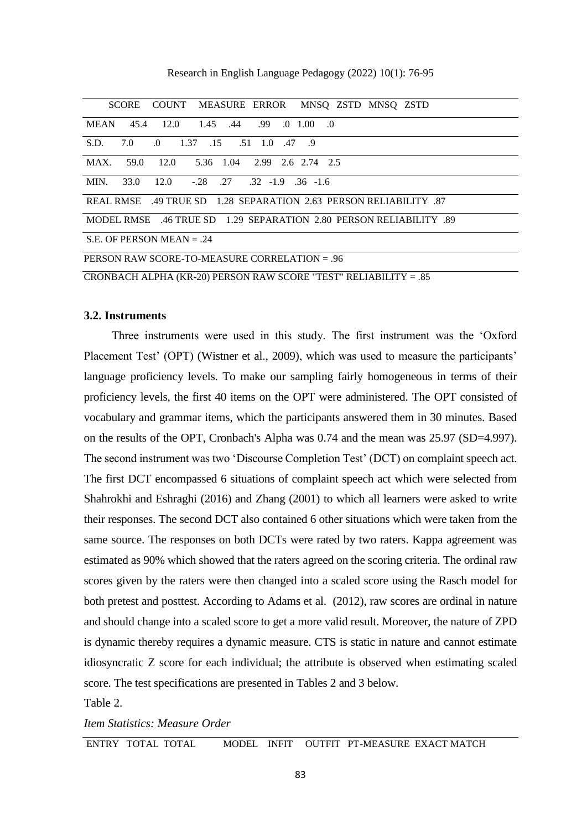Research in English Language Pedagogy (2022) 10(1): 76-95

| SCORE COUNT MEASURE ERROR MNSO ZSTD MNSO ZSTD                      |  |  |  |  |  |  |
|--------------------------------------------------------------------|--|--|--|--|--|--|
| MEAN 45.4 12.0 1.45 .44 .99 .0 1.00 .0                             |  |  |  |  |  |  |
| S.D.<br>7.0 .0 1.37 .15 .51 1.0 .47 .9                             |  |  |  |  |  |  |
| MAX, 59.0 12.0 5.36 1.04 2.99 2.6 2.74 2.5                         |  |  |  |  |  |  |
| MIN. 33.0 12.0 -.28 .27 .32 -1.9 .36 -1.6                          |  |  |  |  |  |  |
| REAL RMSE 49 TRUE SD 1.28 SEPARATION 2.63 PERSON RELIABILITY 87    |  |  |  |  |  |  |
| MODEL RMSE 46 TRUE SD 1.29 SEPARATION 2.80 PERSON RELIABILITY .89  |  |  |  |  |  |  |
| S.E. OF PERSON MEAN $= .24$                                        |  |  |  |  |  |  |
| PERSON RAW SCORE-TO-MEASURE CORRELATION = .96                      |  |  |  |  |  |  |
| CRONBACH ALPHA (KR-20) PERSON RAW SCORE "TEST" RELIABILITY $= .85$ |  |  |  |  |  |  |

#### **3.2. Instruments**

Three instruments were used in this study. The first instrument was the 'Oxford Placement Test' (OPT) (Wistner et al., 2009), which was used to measure the participants' language proficiency levels. To make our sampling fairly homogeneous in terms of their proficiency levels, the first 40 items on the OPT were administered. The OPT consisted of vocabulary and grammar items, which the participants answered them in 30 minutes. Based on the results of the OPT, Cronbach's Alpha was 0.74 and the mean was 25.97 (SD=4.997). The second instrument was two 'Discourse Completion Test' (DCT) on complaint speech act. The first DCT encompassed 6 situations of complaint speech act which were selected from Shahrokhi and Eshraghi (2016) and Zhang (2001) to which all learners were asked to write their responses. The second DCT also contained 6 other situations which were taken from the same source. The responses on both DCTs were rated by two raters. Kappa agreement was estimated as 90% which showed that the raters agreed on the scoring criteria. The ordinal raw scores given by the raters were then changed into a scaled score using the Rasch model for both pretest and posttest. According to Adams et al. (2012), raw scores are ordinal in nature and should change into a scaled score to get a more valid result. Moreover, the nature of ZPD is dynamic thereby requires a dynamic measure. CTS is static in nature and cannot estimate idiosyncratic Z score for each individual; the attribute is observed when estimating scaled score. The test specifications are presented in Tables 2 and 3 below.

Table 2.

*Item Statistics: Measure Order*

ENTRY TOTAL TOTAL MODEL INFIT OUTFIT PT-MEASURE EXACT MATCH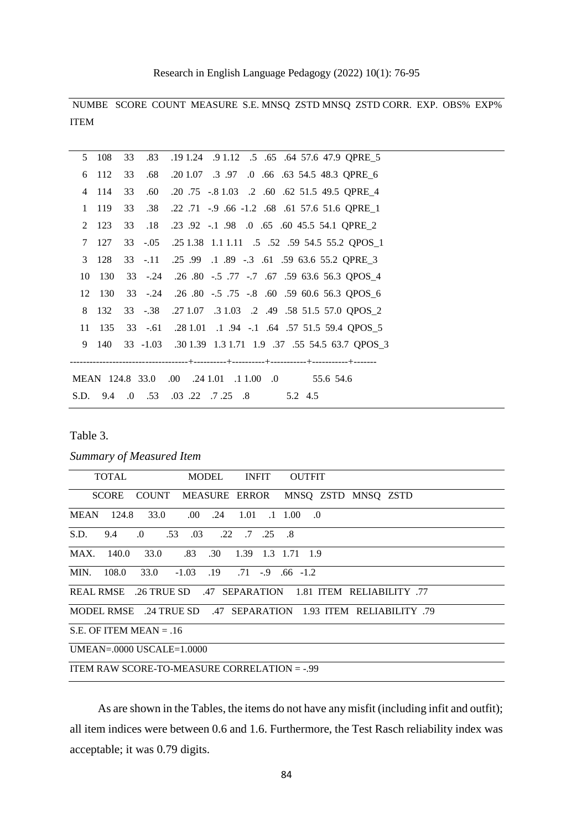Research in English Language Pedagogy (2022) 10(1): 76-95

NUMBE SCORE COUNT MEASURE S.E. MNSQ ZSTD MNSQ ZSTD CORR. EXP. OBS% EXP% ITEM

|    | 5 108  | 33 |     | .83 .19 1.24 .9 1.12 .5 .65 .64 57.6 47.9 QPRE_5              |
|----|--------|----|-----|---------------------------------------------------------------|
|    | 6 112  | 33 | .68 | .20 1.07 .3 .97 .0 .66 .63 54.5 48.3 QPRE_6                   |
|    | 4 114  | 33 | .60 | .20 .75 -.8 1.03 .2 .60 .62 51.5 49.5 QPRE_4                  |
|    | 1 119  | 33 | .38 | .22 .71 -.9 .66 -1.2 .68 .61 57.6 51.6 QPRE_1                 |
|    | 2 123  | 33 |     | .18 .23 .92 -.1 .98 .0 .65 .60 45.5 54.1 QPRE_2               |
|    | 7 127  |    |     | 33 -.05 .25 1.38 1.1 1.11 .5 .52 .59 54.5 55.2 QPOS_1         |
|    | 3 128  |    |     | 33 -.11 .25 .99 .1 .89 -.3 .61 .59 63.6 55.2 QPRE_3           |
| 10 | 130    |    |     | 33 -.24 .26 .80 -.5 .77 -.7 .67 .59 63.6 56.3 QPOS_4          |
| 12 | - 130  |    |     | 33 -.24 .26 .80 -.5 .75 -.8 .60 .59 60.6 56.3 QPOS_6          |
| 8  | 132    |    |     | 33 -.38 .27 1.07 .3 1.03 .2 .49 .58 51.5 57.0 QPOS_2          |
|    | 11 135 |    |     | 33 -.61 .28 1.01 .1 .94 -.1 .64 .57 51.5 59.4 QPOS_5          |
|    |        |    |     | 9 140 33 -1.03 .30 1.39 1.3 1.71 1.9 .37 .55 54.5 63.7 QPOS_3 |
|    |        |    |     |                                                               |
|    |        |    |     | MEAN 124.8 33.0 .00 .24 1.01 .1 1.00 .0 55.6 54.6             |
|    |        |    |     | S.D. 9.4 .0 .53 .03 .22 .7 .25 .8 5.2 4.5                     |

Table 3.

*Summary of Measured Item*

|                                                             | TOTAL        |                 |                                                                 | MODEL              |  | INFIT |                          | <b>OUTFIT</b> |  |  |  |  |
|-------------------------------------------------------------|--------------|-----------------|-----------------------------------------------------------------|--------------------|--|-------|--------------------------|---------------|--|--|--|--|
|                                                             | <b>SCORE</b> |                 | COUNT MEASURE ERROR MNSQ ZSTD MNSQ ZSTD                         |                    |  |       |                          |               |  |  |  |  |
|                                                             |              | MEAN 124.8 33.0 |                                                                 | $.00$ $.24$ $1.01$ |  |       | $.1 \quad 1.00 \quad .0$ |               |  |  |  |  |
|                                                             |              |                 | S.D. 9.4 .0 .53 .03 .22 .7 .25 .8                               |                    |  |       |                          |               |  |  |  |  |
|                                                             |              |                 | MAX. 140.0 33.0 .83 .30 1.39 1.3 1.71 1.9                       |                    |  |       |                          |               |  |  |  |  |
|                                                             |              |                 | MIN. 108.0 33.0 -1.03 .19 .71 -.9 .66 -1.2                      |                    |  |       |                          |               |  |  |  |  |
| REAL RMSE 26 TRUE SD 47 SEPARATION 1.81 ITEM RELIABILITY 77 |              |                 |                                                                 |                    |  |       |                          |               |  |  |  |  |
|                                                             |              |                 | MODEL RMSE .24 TRUE SD .47 SEPARATION 1.93 ITEM RELIABILITY .79 |                    |  |       |                          |               |  |  |  |  |
| $S.E.$ OF ITEM MEAN = 16                                    |              |                 |                                                                 |                    |  |       |                          |               |  |  |  |  |
| UMEAN=.0000 USCALE= $1.0000$                                |              |                 |                                                                 |                    |  |       |                          |               |  |  |  |  |
| ITEM RAW SCORE-TO-MEASURE CORRELATION $=$ -.99              |              |                 |                                                                 |                    |  |       |                          |               |  |  |  |  |

As are shown in the Tables, the items do not have any misfit (including infit and outfit); all item indices were between 0.6 and 1.6. Furthermore, the Test Rasch reliability index was acceptable; it was 0.79 digits.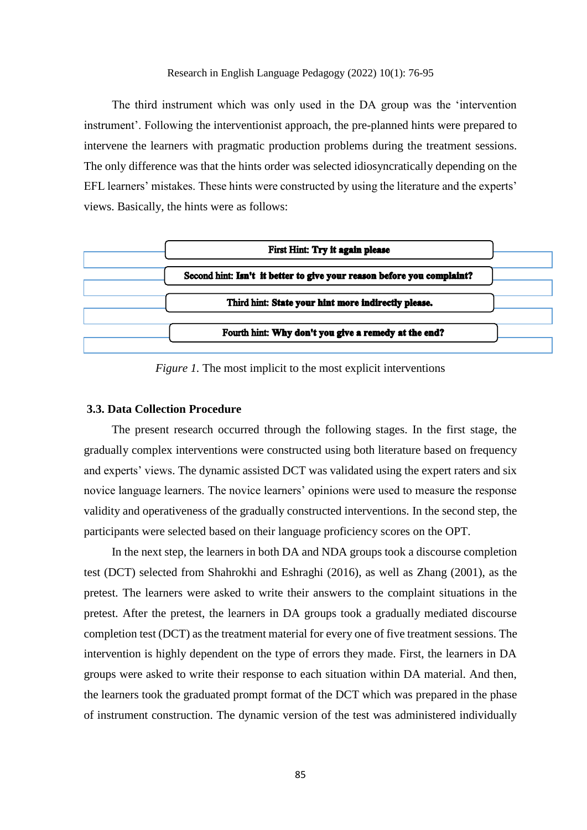#### Research in English Language Pedagogy (2022) 10(1): 76-95

The third instrument which was only used in the DA group was the 'intervention instrument'. Following the interventionist approach, the pre-planned hints were prepared to intervene the learners with pragmatic production problems during the treatment sessions. The only difference was that the hints order was selected idiosyncratically depending on the EFL learners' mistakes. These hints were constructed by using the literature and the experts' views. Basically, the hints were as follows:



*Figure 1.* The most implicit to the most explicit interventions

# **3.3. Data Collection Procedure**

The present research occurred through the following stages. In the first stage, the gradually complex interventions were constructed using both literature based on frequency and experts' views. The dynamic assisted DCT was validated using the expert raters and six novice language learners. The novice learners' opinions were used to measure the response validity and operativeness of the gradually constructed interventions. In the second step, the participants were selected based on their language proficiency scores on the OPT.

In the next step, the learners in both DA and NDA groups took a discourse completion test (DCT) selected from Shahrokhi and Eshraghi (2016), as well as Zhang (2001), as the pretest. The learners were asked to write their answers to the complaint situations in the pretest. After the pretest, the learners in DA groups took a gradually mediated discourse completion test (DCT) as the treatment material for every one of five treatment sessions. The intervention is highly dependent on the type of errors they made. First, the learners in DA groups were asked to write their response to each situation within DA material. And then, the learners took the graduated prompt format of the DCT which was prepared in the phase of instrument construction. The dynamic version of the test was administered individually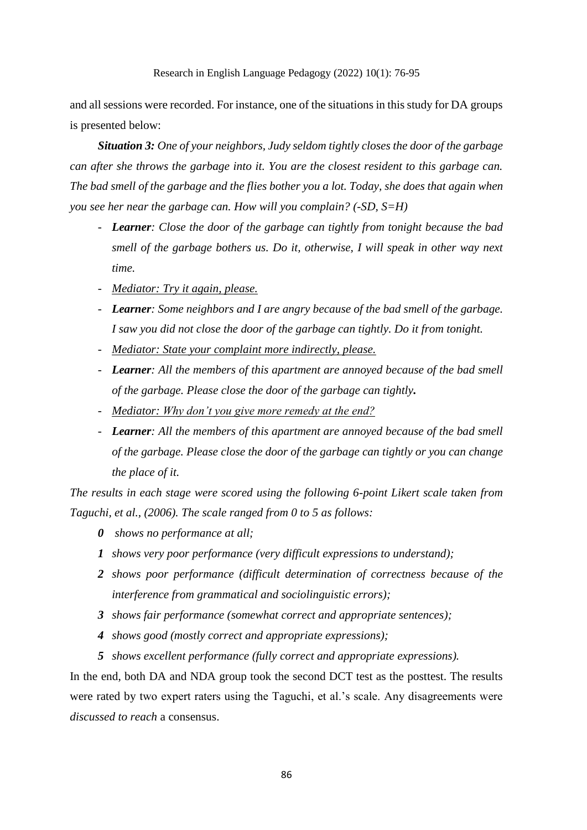and all sessions were recorded. For instance, one of the situations in this study for DA groups is presented below:

*Situation 3: One of your neighbors, Judy seldom tightly closes the door of the garbage can after she throws the garbage into it. You are the closest resident to this garbage can. The bad smell of the garbage and the flies bother you a lot. Today, she does that again when you see her near the garbage can. How will you complain? (-SD, S=H)*

- *Learner: Close the door of the garbage can tightly from tonight because the bad smell of the garbage bothers us. Do it, otherwise, I will speak in other way next time.*
- *Mediator: Try it again, please.*
- *Learner: Some neighbors and I are angry because of the bad smell of the garbage. I saw you did not close the door of the garbage can tightly. Do it from tonight.*
- *Mediator: State your complaint more indirectly, please.*
- *Learner: All the members of this apartment are annoyed because of the bad smell of the garbage. Please close the door of the garbage can tightly.*
- *Mediator: Why don't you give more remedy at the end?*
- *Learner: All the members of this apartment are annoyed because of the bad smell of the garbage. Please close the door of the garbage can tightly or you can change the place of it.*

*The results in each stage were scored using the following 6-point Likert scale taken from Taguchi, et al., (2006). The scale ranged from 0 to 5 as follows:* 

- *0 shows no performance at all;*
- *1 shows very poor performance (very difficult expressions to understand);*
- *2 shows poor performance (difficult determination of correctness because of the interference from grammatical and sociolinguistic errors);*
- *3 shows fair performance (somewhat correct and appropriate sentences);*
- *4 shows good (mostly correct and appropriate expressions);*
- *5 shows excellent performance (fully correct and appropriate expressions).*

In the end, both DA and NDA group took the second DCT test as the posttest. The results were rated by two expert raters using the Taguchi, et al.'s scale. Any disagreements were *discussed to reach* a consensus.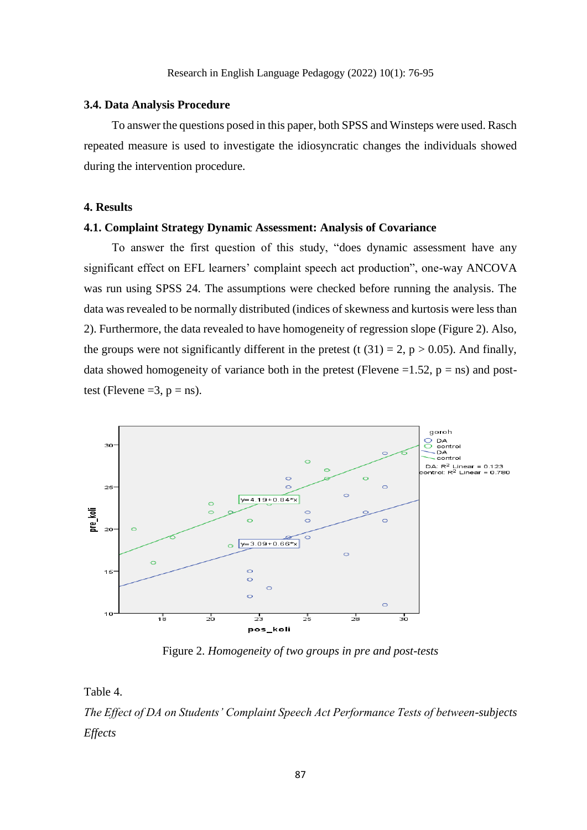# **3.4. Data Analysis Procedure**

To answer the questions posed in this paper, both SPSS and Winsteps were used. Rasch repeated measure is used to investigate the idiosyncratic changes the individuals showed during the intervention procedure.

# **4. Results**

# **4.1. Complaint Strategy Dynamic Assessment: Analysis of Covariance**

To answer the first question of this study, "does dynamic assessment have any significant effect on EFL learners' complaint speech act production", one-way ANCOVA was run using SPSS 24. The assumptions were checked before running the analysis. The data was revealed to be normally distributed (indices of skewness and kurtosis were less than 2). Furthermore, the data revealed to have homogeneity of regression slope (Figure 2). Also, the groups were not significantly different in the pretest (t  $(31) = 2$ , p > 0.05). And finally, data showed homogeneity of variance both in the pretest (Flevene =1.52,  $p = ns$ ) and posttest (Flevene  $=3$ ,  $p = ns$ ).



Figure 2. *Homogeneity of two groups in pre and post-tests*

Table 4.

*The Effect of DA on Students' Complaint Speech Act Performance Tests of between-subjects Effects*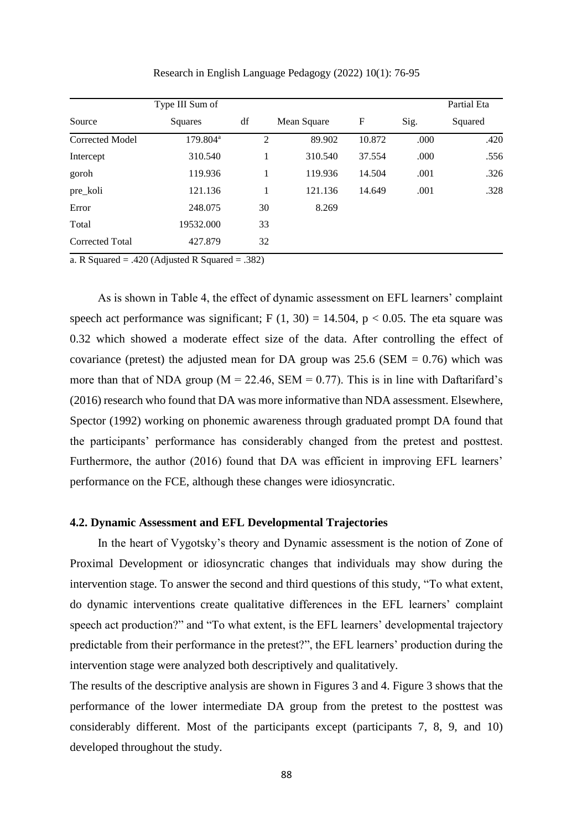| Type III Sum of      |    |                                    |             |      | Partial Eta |  |
|----------------------|----|------------------------------------|-------------|------|-------------|--|
| Squares              | df |                                    | F           | Sig. | Squared     |  |
| 179.804 <sup>a</sup> |    | 89.902                             | 10.872      | .000 | .420        |  |
| 310.540              |    | 310.540                            | 37.554      | .000 | .556        |  |
| 119.936              |    | 119.936                            | 14.504      | .001 | .326        |  |
| 121.136              |    | 121.136                            | 14.649      | .001 | .328        |  |
| 248.075              |    | 8.269                              |             |      |             |  |
| 19532.000            |    |                                    |             |      |             |  |
| 427.879              |    |                                    |             |      |             |  |
|                      |    | 2<br>1<br>1<br>1<br>30<br>33<br>32 | Mean Square |      |             |  |

Research in English Language Pedagogy (2022) 10(1): 76-95

a. R Squared  $= .420$  (Adjusted R Squared  $= .382$ )

As is shown in Table 4, the effect of dynamic assessment on EFL learners' complaint speech act performance was significant; F  $(1, 30) = 14.504$ , p < 0.05. The eta square was 0.32 which showed a moderate effect size of the data. After controlling the effect of covariance (pretest) the adjusted mean for DA group was  $25.6$  (SEM = 0.76) which was more than that of NDA group ( $M = 22.46$ , SEM = 0.77). This is in line with Daftarifard's (2016) research who found that DA was more informative than NDA assessment. Elsewhere, Spector (1992) working on phonemic awareness through graduated prompt DA found that the participants' performance has considerably changed from the pretest and posttest. Furthermore, the author (2016) found that DA was efficient in improving EFL learners' performance on the FCE, although these changes were idiosyncratic.

# **4.2. Dynamic Assessment and EFL Developmental Trajectories**

In the heart of Vygotsky's theory and Dynamic assessment is the notion of Zone of Proximal Development or idiosyncratic changes that individuals may show during the intervention stage. To answer the second and third questions of this study, "To what extent, do dynamic interventions create qualitative differences in the EFL learners' complaint speech act production?" and "To what extent, is the EFL learners' developmental trajectory predictable from their performance in the pretest?", the EFL learners' production during the intervention stage were analyzed both descriptively and qualitatively.

The results of the descriptive analysis are shown in Figures 3 and 4. Figure 3 shows that the performance of the lower intermediate DA group from the pretest to the posttest was considerably different. Most of the participants except (participants 7, 8, 9, and 10) developed throughout the study.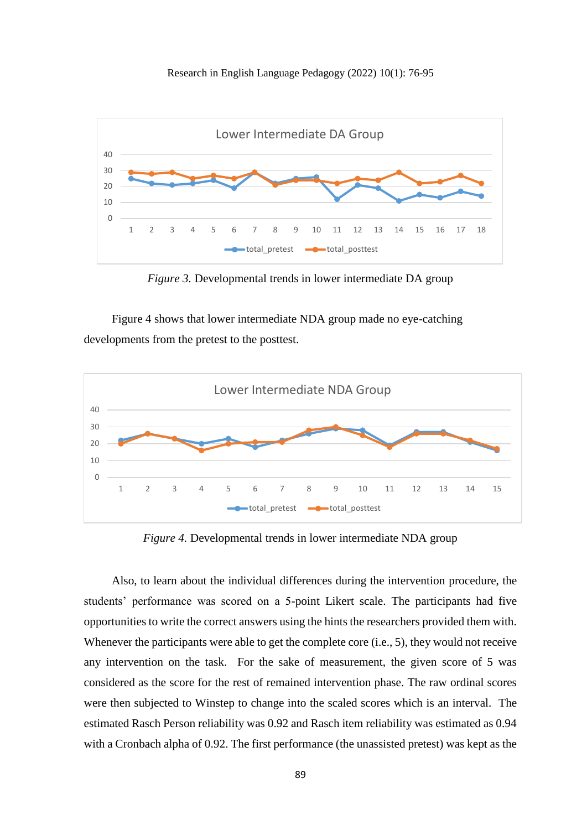



*Figure 3.* Developmental trends in lower intermediate DA group

Figure 4 shows that lower intermediate NDA group made no eye-catching developments from the pretest to the posttest.



*Figure 4.* Developmental trends in lower intermediate NDA group

Also, to learn about the individual differences during the intervention procedure, the students' performance was scored on a 5-point Likert scale. The participants had five opportunities to write the correct answers using the hints the researchers provided them with. Whenever the participants were able to get the complete core (i.e., 5), they would not receive any intervention on the task. For the sake of measurement, the given score of 5 was considered as the score for the rest of remained intervention phase. The raw ordinal scores were then subjected to Winstep to change into the scaled scores which is an interval. The estimated Rasch Person reliability was 0.92 and Rasch item reliability was estimated as 0.94 with a Cronbach alpha of 0.92. The first performance (the unassisted pretest) was kept as the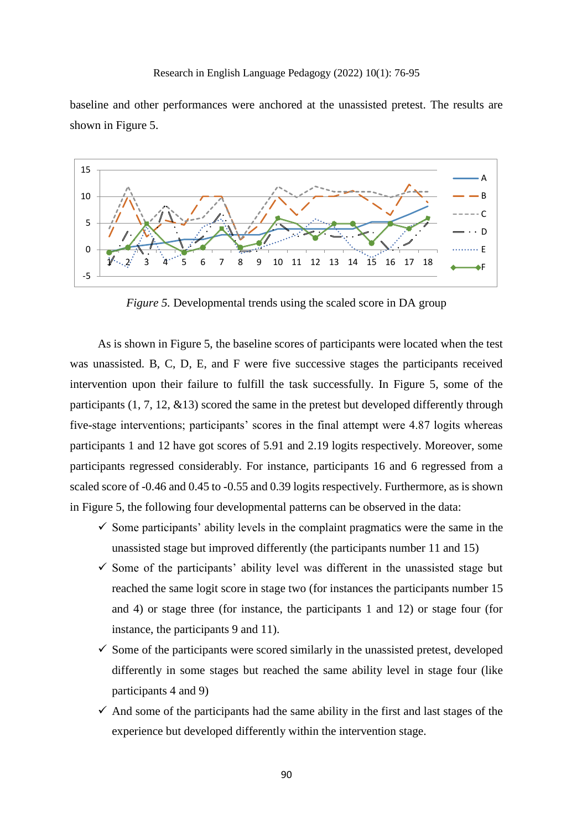baseline and other performances were anchored at the unassisted pretest. The results are shown in Figure 5.



*Figure 5.* Developmental trends using the scaled score in DA group

As is shown in Figure 5, the baseline scores of participants were located when the test was unassisted. B, C, D, E, and F were five successive stages the participants received intervention upon their failure to fulfill the task successfully. In Figure 5, some of the participants (1, 7, 12, &13) scored the same in the pretest but developed differently through five-stage interventions; participants' scores in the final attempt were 4.87 logits whereas participants 1 and 12 have got scores of 5.91 and 2.19 logits respectively. Moreover, some participants regressed considerably. For instance, participants 16 and 6 regressed from a scaled score of -0.46 and 0.45 to -0.55 and 0.39 logits respectively. Furthermore, as is shown in Figure 5, the following four developmental patterns can be observed in the data:

- $\checkmark$  Some participants' ability levels in the complaint pragmatics were the same in the unassisted stage but improved differently (the participants number 11 and 15)
- $\checkmark$  Some of the participants' ability level was different in the unassisted stage but reached the same logit score in stage two (for instances the participants number 15 and 4) or stage three (for instance, the participants 1 and 12) or stage four (for instance, the participants 9 and 11).
- $\checkmark$  Some of the participants were scored similarly in the unassisted pretest, developed differently in some stages but reached the same ability level in stage four (like participants 4 and 9)
- $\checkmark$  And some of the participants had the same ability in the first and last stages of the experience but developed differently within the intervention stage.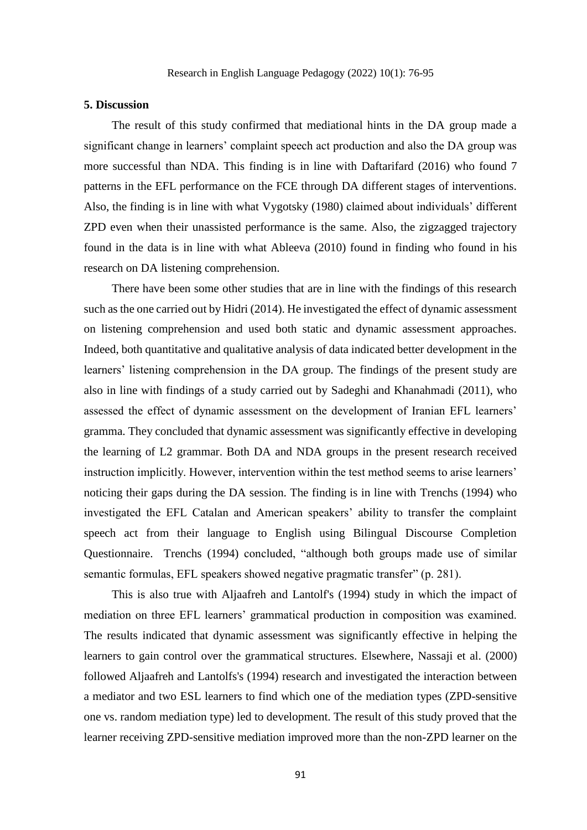#### **5. Discussion**

The result of this study confirmed that mediational hints in the DA group made a significant change in learners' complaint speech act production and also the DA group was more successful than NDA. This finding is in line with Daftarifard (2016) who found 7 patterns in the EFL performance on the FCE through DA different stages of interventions. Also, the finding is in line with what Vygotsky (1980) claimed about individuals' different ZPD even when their unassisted performance is the same. Also, the zigzagged trajectory found in the data is in line with what Ableeva (2010) found in finding who found in his research on DA listening comprehension.

There have been some other studies that are in line with the findings of this research such as the one carried out by Hidri (2014). He investigated the effect of dynamic assessment on listening comprehension and used both static and dynamic assessment approaches. Indeed, both quantitative and qualitative analysis of data indicated better development in the learners' listening comprehension in the DA group. The findings of the present study are also in line with findings of a study carried out by Sadeghi and Khanahmadi (2011), who assessed the effect of dynamic assessment on the development of Iranian EFL learners' gramma. They concluded that dynamic assessment was significantly effective in developing the learning of L2 grammar. Both DA and NDA groups in the present research received instruction implicitly. However, intervention within the test method seems to arise learners' noticing their gaps during the DA session. The finding is in line with Trenchs (1994) who investigated the EFL Catalan and American speakers' ability to transfer the complaint speech act from their language to English using Bilingual Discourse Completion Questionnaire. Trenchs (1994) concluded, "although both groups made use of similar semantic formulas, EFL speakers showed negative pragmatic transfer" (p. 281).

This is also true with Aljaafreh and Lantolf's (1994) study in which the impact of mediation on three EFL learners' grammatical production in composition was examined. The results indicated that dynamic assessment was significantly effective in helping the learners to gain control over the grammatical structures. Elsewhere, Nassaji et al. (2000) followed Aljaafreh and Lantolfs's (1994) research and investigated the interaction between a mediator and two ESL learners to find which one of the mediation types (ZPD-sensitive one vs. random mediation type) led to development. The result of this study proved that the learner receiving ZPD-sensitive mediation improved more than the non-ZPD learner on the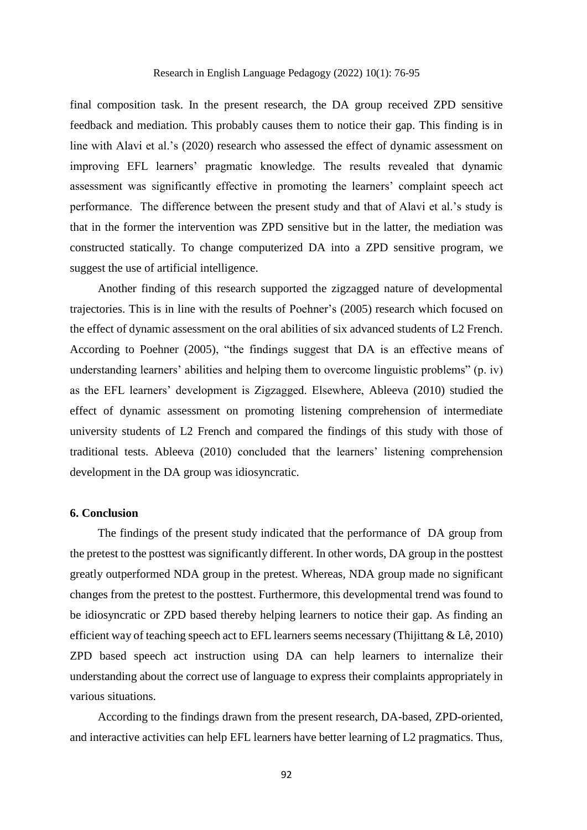final composition task. In the present research, the DA group received ZPD sensitive feedback and mediation. This probably causes them to notice their gap. This finding is in line with Alavi et al.'s (2020) research who assessed the effect of dynamic assessment on improving EFL learners' pragmatic knowledge. The results revealed that dynamic assessment was significantly effective in promoting the learners' complaint speech act performance. The difference between the present study and that of Alavi et al.'s study is that in the former the intervention was ZPD sensitive but in the latter, the mediation was constructed statically. To change computerized DA into a ZPD sensitive program, we suggest the use of artificial intelligence.

Another finding of this research supported the zigzagged nature of developmental trajectories. This is in line with the results of Poehner's (2005) research which focused on the effect of dynamic assessment on the oral abilities of six advanced students of L2 French. According to Poehner (2005), "the findings suggest that DA is an effective means of understanding learners' abilities and helping them to overcome linguistic problems" (p. iv) as the EFL learners' development is Zigzagged. Elsewhere, Ableeva (2010) studied the effect of dynamic assessment on promoting listening comprehension of intermediate university students of L2 French and compared the findings of this study with those of traditional tests. Ableeva (2010) concluded that the learners' listening comprehension development in the DA group was idiosyncratic.

# **6. Conclusion**

The findings of the present study indicated that the performance of DA group from the pretest to the posttest was significantly different. In other words, DA group in the posttest greatly outperformed NDA group in the pretest. Whereas, NDA group made no significant changes from the pretest to the posttest. Furthermore, this developmental trend was found to be idiosyncratic or ZPD based thereby helping learners to notice their gap. As finding an efficient way of teaching speech act to EFL learners seems necessary (Thijittang  $& \mathcal{L}e$ , 2010) ZPD based speech act instruction using DA can help learners to internalize their understanding about the correct use of language to express their complaints appropriately in various situations.

According to the findings drawn from the present research, DA-based, ZPD-oriented, and interactive activities can help EFL learners have better learning of L2 pragmatics. Thus,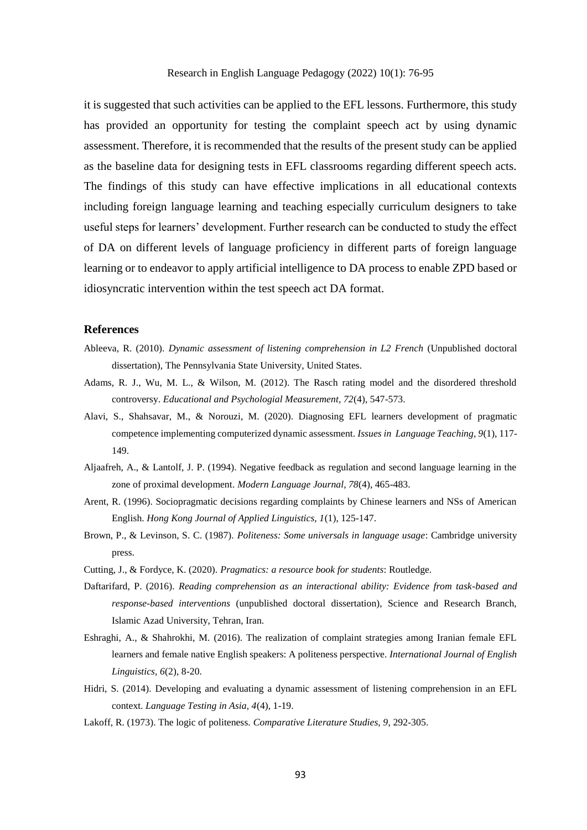#### Research in English Language Pedagogy (2022) 10(1): 76-95

it is suggested that such activities can be applied to the EFL lessons. Furthermore, this study has provided an opportunity for testing the complaint speech act by using dynamic assessment. Therefore, it is recommended that the results of the present study can be applied as the baseline data for designing tests in EFL classrooms regarding different speech acts. The findings of this study can have effective implications in all educational contexts including foreign language learning and teaching especially curriculum designers to take useful steps for learners' development. Further research can be conducted to study the effect of DA on different levels of language proficiency in different parts of foreign language learning or to endeavor to apply artificial intelligence to DA process to enable ZPD based or idiosyncratic intervention within the test speech act DA format.

#### **References**

- Ableeva, R. (2010). *Dynamic assessment of listening comprehension in L2 French* (Unpublished doctoral dissertation), The Pennsylvania State University, United States.
- Adams, R. J., Wu, M. L., & Wilson, M. (2012). The Rasch rating model and the disordered threshold controversy. *Educational and Psychologial Measurement, 72*(4), 547-573.
- Alavi, S., Shahsavar, M., & Norouzi, M. (2020). Diagnosing EFL learners development of pragmatic competence implementing computerized dynamic assessment. *Issues in Language Teaching, 9*(1), 117- 149.
- Aljaafreh, A., & Lantolf, J. P. (1994). Negative feedback as regulation and second language learning in the zone of proximal development. *Modern Language Journal, 78*(4), 465-483.
- Arent, R. (1996). Sociopragmatic decisions regarding complaints by Chinese learners and NSs of American English. *Hong Kong Journal of Applied Linguistics, 1*(1), 125-147.
- Brown, P., & Levinson, S. C. (1987). *Politeness: Some universals in language usage*: Cambridge university press.
- Cutting, J., & Fordyce, K. (2020). *Pragmatics: a resource book for students*: Routledge.
- Daftarifard, P. (2016). *Reading comprehension as an interactional ability: Evidence from task-based and response-based interventions* (unpublished doctoral dissertation), Science and Research Branch, Islamic Azad University, Tehran, Iran.
- Eshraghi, A., & Shahrokhi, M. (2016). The realization of complaint strategies among Iranian female EFL learners and female native English speakers: A politeness perspective. *International Journal of English Linguistics, 6*(2), 8-20.
- Hidri, S. (2014). Developing and evaluating a dynamic assessment of listening comprehension in an EFL context. *Language Testing in Asia, 4*(4), 1-19.
- Lakoff, R. (1973). The logic of politeness. *Comparative Literature Studies, 9*, 292-305.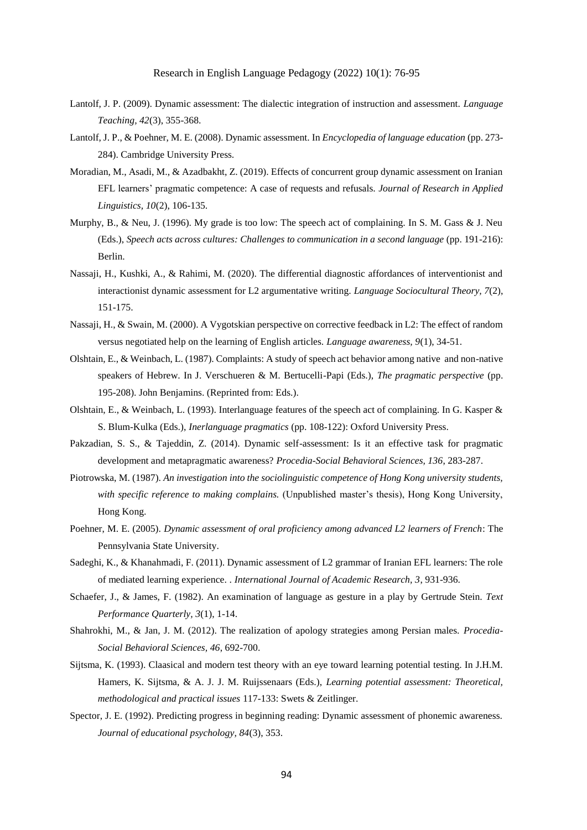- Lantolf, J. P. (2009). Dynamic assessment: The dialectic integration of instruction and assessment. *Language Teaching, 42*(3), 355-368.
- Lantolf, J. P., & Poehner, M. E. (2008). Dynamic assessment. In *Encyclopedia of language education* (pp. 273- 284). Cambridge University Press.
- Moradian, M., Asadi, M., & Azadbakht, Z. (2019). Effects of concurrent group dynamic assessment on Iranian EFL learners' pragmatic competence: A case of requests and refusals. *Journal of Research in Applied Linguistics, 10*(2), 106-135.
- Murphy, B., & Neu, J. (1996). My grade is too low: The speech act of complaining. In S. M. Gass & J. Neu (Eds.), *Speech acts across cultures: Challenges to communication in a second language* (pp. 191-216): Berlin.
- Nassaji, H., Kushki, A., & Rahimi, M. (2020). The differential diagnostic affordances of interventionist and interactionist dynamic assessment for L2 argumentative writing. *Language Sociocultural Theory, 7*(2), 151-175.
- Nassaji, H., & Swain, M. (2000). A Vygotskian perspective on corrective feedback in L2: The effect of random versus negotiated help on the learning of English articles. *Language awareness, 9*(1), 34-51.
- Olshtain, E., & Weinbach, L. (1987). Complaints: A study of speech act behavior among native and non-native speakers of Hebrew. In J. Verschueren & M. Bertucelli-Papi (Eds.), *The pragmatic perspective* (pp. 195-208). John Benjamins. (Reprinted from: Eds.).
- Olshtain, E., & Weinbach, L. (1993). Interlanguage features of the speech act of complaining. In G. Kasper & S. Blum-Kulka (Eds.), *Inerlanguage pragmatics* (pp. 108-122): Oxford University Press.
- Pakzadian, S. S., & Tajeddin, Z. (2014). Dynamic self-assessment: Is it an effective task for pragmatic development and metapragmatic awareness? *Procedia-Social Behavioral Sciences, 136*, 283-287.
- Piotrowska, M. (1987). *An investigation into the sociolinguistic competence of Hong Kong university students, with specific reference to making complains.* (Unpublished master's thesis), Hong Kong University, Hong Kong.
- Poehner, M. E. (2005). *Dynamic assessment of oral proficiency among advanced L2 learners of French*: The Pennsylvania State University.
- Sadeghi, K., & Khanahmadi, F. (2011). Dynamic assessment of L2 grammar of Iranian EFL learners: The role of mediated learning experience. . *International Journal of Academic Research, 3*, 931-936.
- Schaefer, J., & James, F. (1982). An examination of language as gesture in a play by Gertrude Stein. *Text Performance Quarterly, 3*(1), 1-14.
- Shahrokhi, M., & Jan, J. M. (2012). The realization of apology strategies among Persian males. *Procedia-Social Behavioral Sciences, 46*, 692-700.
- Sijtsma, K. (1993). Claasical and modern test theory with an eye toward learning potential testing. In J.H.M. Hamers, K. Sijtsma, & A. J. J. M. Ruijssenaars (Eds.), *Learning potential assessment: Theoretical, methodological and practical issues* 117-133: Swets & Zeitlinger.
- Spector, J. E. (1992). Predicting progress in beginning reading: Dynamic assessment of phonemic awareness. *Journal of educational psychology, 84*(3), 353.